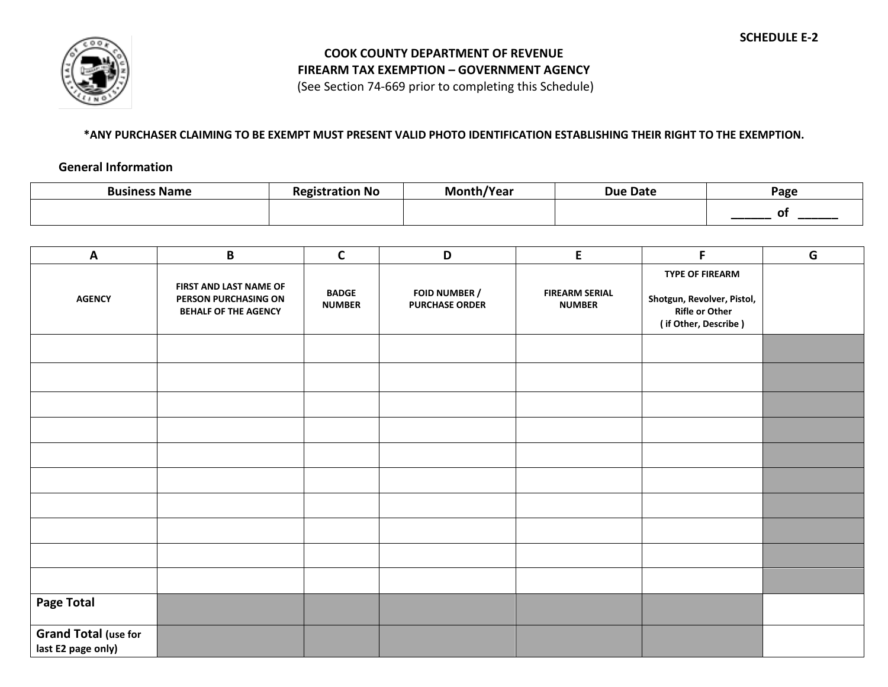

## **COOK COUNTY DEPARTMENT OF REVENUE FIREARM TAX EXEMPTION – GOVERNMENT AGENCY**

(See Section 74-669 prior to completing this Schedule)

## **\*ANY PURCHASER CLAIMING TO BE EXEMPT MUST PRESENT VALID PHOTO IDENTIFICATION ESTABLISHING THEIR RIGHT TO THE EXEMPTION.**

## **General Information**

| <b>Business Name</b> | ı No<br>. | /Year<br>Mc | <b>Due Date</b> | Page |
|----------------------|-----------|-------------|-----------------|------|
|                      |           |             |                 |      |

| A                                                 | $\pmb B$                                                                      | $\mathsf{C}$                  | D                                      | $\mathsf E$                            | F                                                                                              | G |
|---------------------------------------------------|-------------------------------------------------------------------------------|-------------------------------|----------------------------------------|----------------------------------------|------------------------------------------------------------------------------------------------|---|
| <b>AGENCY</b>                                     | FIRST AND LAST NAME OF<br>PERSON PURCHASING ON<br><b>BEHALF OF THE AGENCY</b> | <b>BADGE</b><br><b>NUMBER</b> | FOID NUMBER /<br><b>PURCHASE ORDER</b> | <b>FIREARM SERIAL</b><br><b>NUMBER</b> | TYPE OF FIREARM<br>Shotgun, Revolver, Pistol,<br><b>Rifle or Other</b><br>(if Other, Describe) |   |
|                                                   |                                                                               |                               |                                        |                                        |                                                                                                |   |
|                                                   |                                                                               |                               |                                        |                                        |                                                                                                |   |
|                                                   |                                                                               |                               |                                        |                                        |                                                                                                |   |
|                                                   |                                                                               |                               |                                        |                                        |                                                                                                |   |
|                                                   |                                                                               |                               |                                        |                                        |                                                                                                |   |
|                                                   |                                                                               |                               |                                        |                                        |                                                                                                |   |
|                                                   |                                                                               |                               |                                        |                                        |                                                                                                |   |
|                                                   |                                                                               |                               |                                        |                                        |                                                                                                |   |
|                                                   |                                                                               |                               |                                        |                                        |                                                                                                |   |
|                                                   |                                                                               |                               |                                        |                                        |                                                                                                |   |
| <b>Page Total</b>                                 |                                                                               |                               |                                        |                                        |                                                                                                |   |
| <b>Grand Total (use for</b><br>last E2 page only) |                                                                               |                               |                                        |                                        |                                                                                                |   |